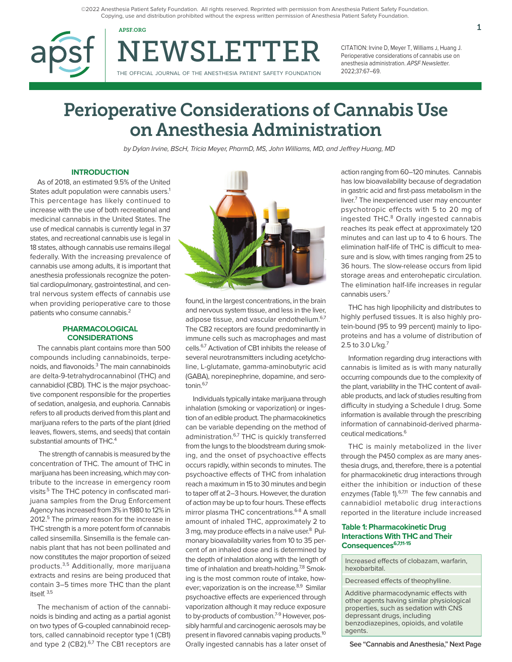©2022 Anesthesia Patient Safety Foundation. All rights reserved. Reprinted with permission from Anesthesia Patient Safety Foundation. Copying, use and distribution prohibited without the express written permission of Anesthesia Patient Safety Foundation.

APSF.ORG  $1$ 



THE OFFICIAL JOURNAL OF THE ANESTHESIA PATIENT SAFETY FOUNDATION

NEWSLETTER

CITATION: Irvine D, Meyer T, Williams J, Huang J. Perioperative considerations of cannabis use on anesthesia administration. APSF Newsletter. 2022;37:67–69.

# Perioperative Considerations of Cannabis Use on Anesthesia Administration

by Dylan Irvine, BScH, Tricia Meyer, PharmD, MS, John Williams, MD, and Jeffrey Huang, MD

#### **INTRODUCTION**

As of 2018, an estimated 9.5% of the United States adult population were cannabis users.<sup>1</sup> This percentage has likely continued to increase with the use of both recreational and medicinal cannabis in the United States. The use of medical cannabis is currently legal in 37 states, and recreational cannabis use is legal in 18 states, although cannabis use remains illegal federally. With the increasing prevalence of cannabis use among adults, it is important that anesthesia professionals recognize the potential cardiopulmonary, gastrointestinal, and central nervous system effects of cannabis use when providing perioperative care to those patients who consume cannabis.<sup>2</sup>

#### **PHARMACOLOGICAL CONSIDERATIONS**

The cannabis plant contains more than 500 compounds including cannabinoids, terpenoids, and flavonoids.<sup>3</sup> The main cannabinoids are delta-9-tetrahydrocannabinol (THC) and cannabidiol (CBD). THC is the major psychoactive component responsible for the properties of sedation, analgesia, and euphoria. Cannabis refers to all products derived from this plant and marijuana refers to the parts of the plant (dried leaves, flowers, stems, and seeds) that contain substantial amounts of THC.4

 The strength of cannabis is measured by the concentration of THC. The amount of THC in marijuana has been increasing, which may contribute to the increase in emergency room visits.5 The THC potency in confiscated marijuana samples from the Drug Enforcement Agency has increased from 3% in 1980 to 12% in 2012.<sup>5</sup> The primary reason for the increase in THC strength is a more potent form of cannabis called sinsemilla. Sinsemilla is the female cannabis plant that has not been pollinated and now constitutes the major proportion of seized products.3,5 Additionally, more marijuana extracts and resins are being produced that contain 3–5 times more THC than the plant itself. 3,5

The mechanism of action of the cannabinoids is binding and acting as a partial agonist on two types of G-coupled cannabinoid receptors, called cannabinoid receptor type 1 (CB1) and type 2 (CB2).<sup>6,7</sup> The CB1 receptors are



found, in the largest concentrations, in the brain and nervous system tissue, and less in the liver, adipose tissue, and vascular endothelium.<sup>6,7</sup> The CB2 receptors are found predominantly in immune cells such as macrophages and mast cells.<sup>6,7</sup> Activation of CB1 inhibits the release of several neurotransmitters including acetylcholine, L-glutamate, gamma-aminobutyric acid (GABA), norepinephrine, dopamine, and serotonin. $6,7$ 

Individuals typically intake marijuana through inhalation (smoking or vaporization) or ingestion of an edible product. The pharmacokinetics can be variable depending on the method of administration.<sup>6,7</sup> THC is quickly transferred from the lungs to the bloodstream during smoking, and the onset of psychoactive effects occurs rapidly, within seconds to minutes. The psychoactive effects of THC from inhalation reach a maximum in 15 to 30 minutes and begin to taper off at 2–3 hours. However, the duration of action may be up to four hours. These effects mirror plasma THC concentrations.<sup>6-8</sup> A small amount of inhaled THC, approximately 2 to 3 mg, may produce effects in a naïve user.<sup>8</sup> Pulmonary bioavailability varies from 10 to 35 percent of an inhaled dose and is determined by the depth of inhalation along with the length of time of inhalation and breath-holding. $78$  Smoking is the most common route of intake, however; vaporization is on the increase.<sup>8,9</sup> Similar psychoactive effects are experienced through vaporization although it may reduce exposure to by-products of combustion.<sup>7-9</sup> However, possibly harmful and carcinogenic aerosols may be present in flavored cannabis vaping products.<sup>10</sup> Orally ingested cannabis has a later onset of

action ranging from 60–120 minutes. Cannabis has low bioavailability because of degradation in gastric acid and first-pass metabolism in the liver.<sup>7</sup> The inexperienced user may encounter psychotropic effects with 5 to 20 mg of ingested THC.<sup>8</sup> Orally ingested cannabis reaches its peak effect at approximately 120 minutes and can last up to 4 to 6 hours. The elimination half-life of THC is difficult to measure and is slow, with times ranging from 25 to 36 hours. The slow-release occurs from lipid storage areas and enterohepatic circulation. The elimination half-life increases in regular cannabis users.7

THC has high lipophilicity and distributes to highly perfused tissues. It is also highly protein-bound (95 to 99 percent) mainly to lipoproteins and has a volume of distribution of 2.5 to 3.0 L/kg.<sup>7</sup>

Information regarding drug interactions with cannabis is limited as is with many naturally occurring compounds due to the complexity of the plant, variability in the THC content of available products, and lack of studies resulting from difficulty in studying a Schedule I drug. Some information is available through the prescribing information of cannabinoid-derived pharmaceutical medications.6

THC is mainly metabolized in the liver through the P450 complex as are many anesthesia drugs, and, therefore, there is a potential for pharmacokinetic drug interactions through either the inhibition or induction of these enzymes (Table 1).<sup>6,7,11</sup> The few cannabis and cannabidiol metabolic drug interactions reported in the literature include increased

#### **Table 1: Pharmacokinetic Drug Interactions With THC and Their Consequences6,7,11-15**

Increased effects of clobazam, warfarin, hexobarbital.

Decreased effects of theophylline.

Additive pharmacodynamic effects with other agents having similar physiological properties, such as sedation with CNS depressant drugs, including benzodiazepines, opioids, and volatile agents.

**See "Cannabis and Anesthesia," Next Page**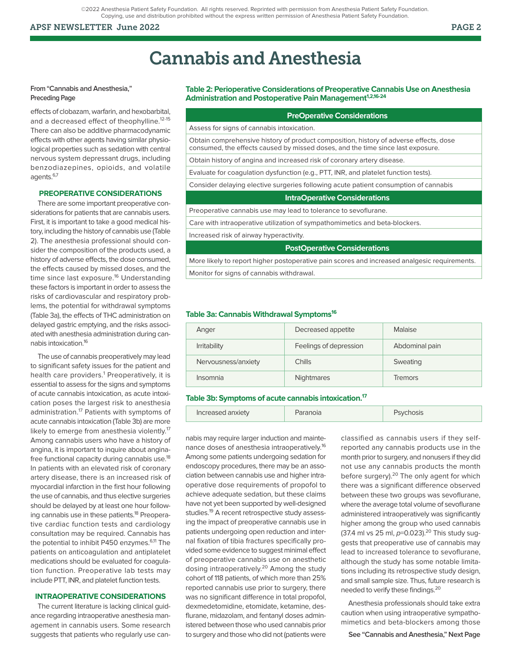©2022 Anesthesia Patient Safety Foundation. All rights reserved. Reprinted with permission from Anesthesia Patient Safety Foundation. Copying, use and distribution prohibited without the express written permission of Anesthesia Patient Safety Foundation.

#### APSF NEWSLETTER June 2022 PAGE 2

# Cannabis and Anesthesia

#### **From "Cannabis and Anesthesia," Preceding Page**

effects of clobazam, warfarin, and hexobarbital, and a decreased effect of theophylline.<sup>12-15</sup> There can also be additive pharmacodynamic effects with other agents having similar physiological properties such as sedation with central nervous system depressant drugs, including benzodiazepines, opioids, and volatile agents.<sup>6,7</sup>

#### **PREOPERATIVE CONSIDERATIONS**

There are some important preoperative considerations for patients that are cannabis users. First, it is important to take a good medical history, including the history of cannabis use (Table 2). The anesthesia professional should consider the composition of the products used, a history of adverse effects, the dose consumed, the effects caused by missed doses, and the time since last exposure.<sup>16</sup> Understanding these factors is important in order to assess the risks of cardiovascular and respiratory problems, the potential for withdrawal symptoms (Table 3a), the effects of THC administration on delayed gastric emptying, and the risks associated with anesthesia administration during cannabis intoxication.16

The use of cannabis preoperatively may lead to significant safety issues for the patient and health care providers.<sup>1</sup> Preoperatively, it is essential to assess for the signs and symptoms of acute cannabis intoxication, as acute intoxication poses the largest risk to anesthesia administration.<sup>17</sup> Patients with symptoms of acute cannabis intoxication (Table 3b) are more likely to emerge from anesthesia violently.<sup>17</sup> Among cannabis users who have a history of angina, it is important to inquire about anginafree functional capacity during cannabis use.<sup>18</sup> In patients with an elevated risk of coronary artery disease, there is an increased risk of myocardial infarction in the first hour following the use of cannabis, and thus elective surgeries should be delayed by at least one hour following cannabis use in these patients.<sup>18</sup> Preoperative cardiac function tests and cardiology consultation may be required. Cannabis has the potential to inhibit P450 enzymes.<sup>6,11</sup> The patients on anticoagulation and antiplatelet medications should be evaluated for coagulation function. Preoperative lab tests may include PTT, INR, and platelet function tests.

#### **INTRAOPERATIVE CONSIDERATIONS**

The current literature is lacking clinical guidance regarding intraoperative anesthesia management in cannabis users. Some research suggests that patients who regularly use can**Table 2: Perioperative Considerations of Preoperative Cannabis Use on Anesthesia**  Administration and Postoperative Pain Management<sup>1,2,16-24</sup>

**PreOperative Considerations**

Assess for signs of cannabis intoxication.

Obtain comprehensive history of product composition, history of adverse effects, dose consumed, the effects caused by missed doses, and the time since last exposure.

Obtain history of angina and increased risk of coronary artery disease.

Evaluate for coagulation dysfunction (e.g., PTT, INR, and platelet function tests).

Consider delaying elective surgeries following acute patient consumption of cannabis

#### **IntraOperative Considerations**

Preoperative cannabis use may lead to tolerance to sevoflurane.

Care with intraoperative utilization of sympathomimetics and beta-blockers.

Increased risk of airway hyperactivity.

#### **PostOperative Considerations**

More likely to report higher postoperative pain scores and increased analgesic requirements. Monitor for signs of cannabis withdrawal.

#### **Table 3a: Cannabis Withdrawal Symptoms16**

| Anger               | Decreased appetite     | Malaise        |
|---------------------|------------------------|----------------|
| <b>Irritability</b> | Feelings of depression | Abdominal pain |
| Nervousness/anxiety | Chills                 | Sweating       |
| Insomnia            | <b>Nightmares</b>      | Tremors        |

#### **Table 3b: Symptoms of acute cannabis intoxication.17**

| Increased anxiety<br>$\cdots$ |  |  |
|-------------------------------|--|--|
|-------------------------------|--|--|

nabis may require larger induction and maintenance doses of anesthesia intraoperatively.16 Among some patients undergoing sedation for endoscopy procedures, there may be an association between cannabis use and higher intraoperative dose requirements of propofol to achieve adequate sedation, but these claims have not yet been supported by well-designed studies.<sup>19</sup> A recent retrospective study assessing the impact of preoperative cannabis use in patients undergoing open reduction and internal fixation of tibia fractures specifically provided some evidence to suggest minimal effect of preoperative cannabis use on anesthetic dosing intraoperatively.<sup>20</sup> Among the study cohort of 118 patients, of which more than 25% reported cannabis use prior to surgery, there was no significant difference in total propofol, dexmedetomidine, etomidate, ketamine, desflurane, midazolam, and fentanyl doses administered between those who used cannabis prior to surgery and those who did not (patients were

classified as cannabis users if they selfreported any cannabis products use in the month prior to surgery, and nonusers if they did not use any cannabis products the month before surgery).<sup>20</sup> The only agent for which there was a significant difference observed between these two groups was sevoflurane, where the average total volume of sevoflurane administered intraoperatively was significantly higher among the group who used cannabis (37.4 ml vs 25 ml,  $p=0.023$ ).<sup>20</sup> This study suggests that preoperative use of cannabis may lead to increased tolerance to sevoflurane, although the study has some notable limitations including its retrospective study design, and small sample size. Thus, future research is needed to verify these findings.20

Anesthesia professionals should take extra caution when using intraoperative sympathomimetics and beta-blockers among those

**See "Cannabis and Anesthesia," Next Page**